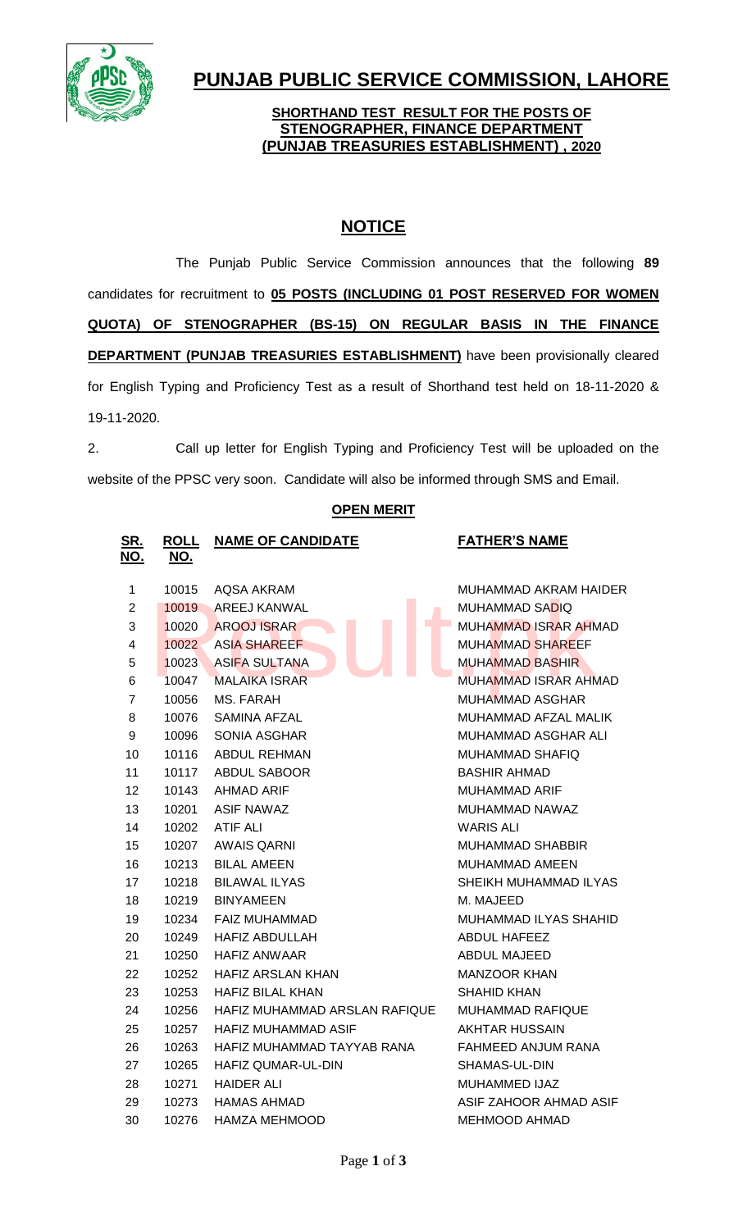

# **PUNJAB PUBLIC SERVICE COMMISSION, LAHORE**

#### **SHORTHAND TEST RESULT FOR THE POSTS OF STENOGRAPHER, FINANCE DEPARTMENT (PUNJAB TREASURIES ESTABLISHMENT) , 2020**

## **NOTICE**

The Punjab Public Service Commission announces that the following **89** candidates for recruitment to **05 POSTS (INCLUDING 01 POST RESERVED FOR WOMEN QUOTA) OF STENOGRAPHER (BS-15) ON REGULAR BASIS IN THE FINANCE DEPARTMENT (PUNJAB TREASURIES ESTABLISHMENT)** have been provisionally cleared for English Typing and Proficiency Test as a result of Shorthand test held on 18-11-2020 & 19-11-2020.

2. Call up letter for English Typing and Proficiency Test will be uploaded on the website of the PPSC very soon. Candidate will also be informed through SMS and Email.

| SR.<br>NO.     | <b>ROLL</b><br><u>NO.</u> | <b>NAME OF CANDIDATE</b>                     | <b>FATHER'S NAME</b>        |  |
|----------------|---------------------------|----------------------------------------------|-----------------------------|--|
| $\mathbf 1$    | 10015                     | <b>AQSA AKRAM</b>                            | MUHAMMAD AKRAM HAIDER       |  |
| $\overline{2}$ | 10019                     | AREEJ KANWAL                                 | MUHAMMAD SADIQ              |  |
| 3              | 10020                     | <b>AROOJ ISRAR</b>                           | <b>MUHAMMAD ISRAR AHMAD</b> |  |
| $\overline{4}$ | 10022                     | <b>ASIA SHAREEF</b>                          | <b>MUHAMMAD SHAREEF</b>     |  |
| 5              | 10023                     | <b>ASIFA SULTANA</b>                         | <b>MUHAMMAD BASHIR</b>      |  |
| 6              | 10047                     | <b>MALAIKA ISRAR</b>                         | <b>MUHAMMAD ISRAR AHMAD</b> |  |
| $\overline{7}$ | 10056                     | MS. FARAH<br>MUHAMMAD ASGHAR                 |                             |  |
| 8              | 10076                     | MUHAMMAD AFZAL MALIK<br>SAMINA AFZAL         |                             |  |
| 9              | 10096                     | SONIA ASGHAR<br>MUHAMMAD ASGHAR ALI          |                             |  |
| 10             | 10116                     | <b>ABDUL REHMAN</b><br>MUHAMMAD SHAFIQ       |                             |  |
| 11             | 10117                     | <b>ABDUL SABOOR</b>                          | <b>BASHIR AHMAD</b>         |  |
| 12             | 10143                     | AHMAD ARIF<br>MUHAMMAD ARIF                  |                             |  |
| 13             | 10201                     | <b>ASIF NAWAZ</b><br>MUHAMMAD NAWAZ          |                             |  |
| 14             | 10202                     | <b>ATIF ALI</b>                              | <b>WARIS ALI</b>            |  |
| 15             | 10207                     | <b>AWAIS QARNI</b>                           | <b>MUHAMMAD SHABBIR</b>     |  |
| 16             | 10213                     | <b>BILAL AMEEN</b>                           | MUHAMMAD AMEEN              |  |
| 17             | 10218                     | <b>BILAWAL ILYAS</b>                         | SHEIKH MUHAMMAD ILYAS       |  |
| 18             | 10219                     | <b>BINYAMEEN</b><br>M. MAJEED                |                             |  |
| 19             | 10234                     | FAIZ MUHAMMAD                                | MUHAMMAD ILYAS SHAHID       |  |
| 20             | 10249                     | <b>HAFIZ ABDULLAH</b>                        | <b>ABDUL HAFEEZ</b>         |  |
| 21             | 10250                     | <b>HAFIZ ANWAAR</b><br><b>ABDUL MAJEED</b>   |                             |  |
| 22             | 10252                     | <b>HAFIZ ARSLAN KHAN</b>                     | <b>MANZOOR KHAN</b>         |  |
| 23             | 10253                     | <b>HAFIZ BILAL KHAN</b>                      | <b>SHAHID KHAN</b>          |  |
| 24             | 10256                     | HAFIZ MUHAMMAD ARSLAN RAFIQUE                | MUHAMMAD RAFIQUE            |  |
| 25             | 10257                     | HAFIZ MUHAMMAD ASIF<br><b>AKHTAR HUSSAIN</b> |                             |  |
| 26             | 10263                     | HAFIZ MUHAMMAD TAYYAB RANA                   | FAHMEED ANJUM RANA          |  |
| 27             | 10265                     | HAFIZ QUMAR-UL-DIN                           | SHAMAS-UL-DIN               |  |
| 28             | 10271                     | <b>HAIDER ALI</b><br>MUHAMMED IJAZ           |                             |  |
| 29             | 10273                     | <b>HAMAS AHMAD</b>                           | ASIF ZAHOOR AHMAD ASIF      |  |
| 30             | 10276                     | HAMZA MEHMOOD                                | MEHMOOD AHMAD               |  |
|                |                           |                                              |                             |  |

## **OPEN MERIT**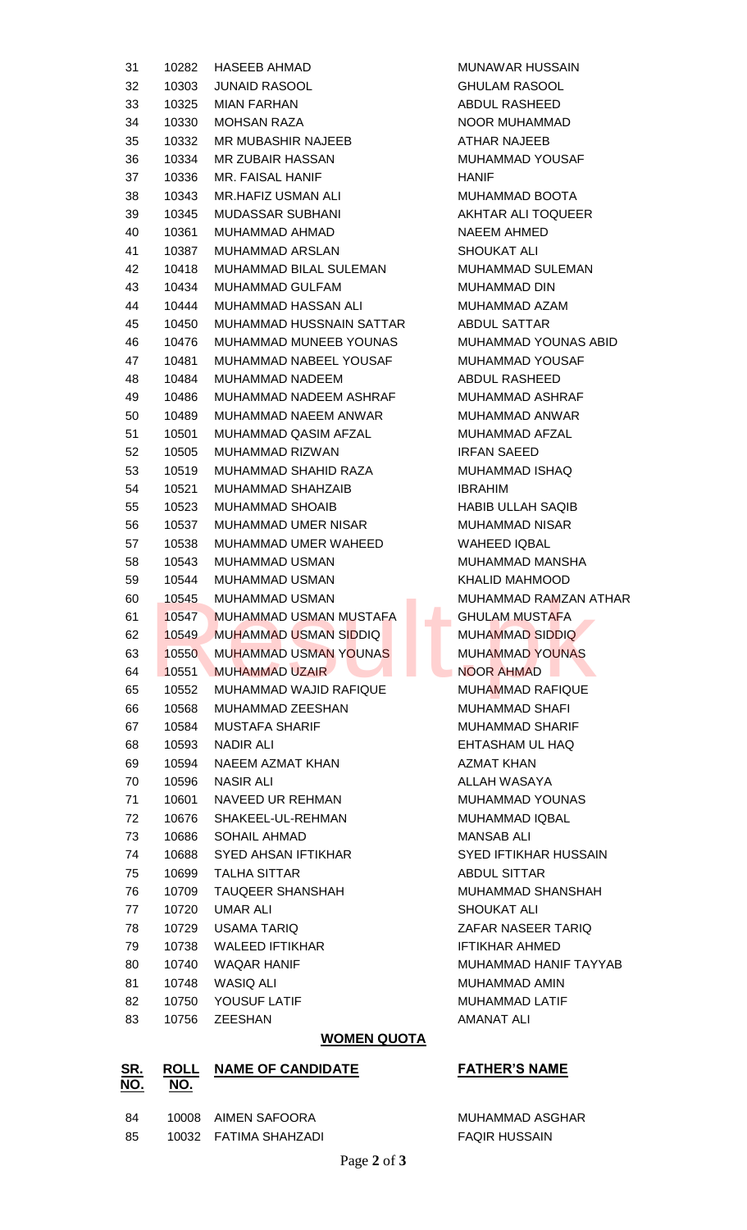| 31 | 10282 | <b>HASEEB AHMAD</b><br><b>MUNAWAR HUSSAIN</b>     |                                        |  |  |
|----|-------|---------------------------------------------------|----------------------------------------|--|--|
| 32 | 10303 | <b>JUNAID RASOOL</b><br><b>GHULAM RASOOL</b>      |                                        |  |  |
| 33 | 10325 | <b>MIAN FARHAN</b><br>ABDUL RASHEED               |                                        |  |  |
| 34 | 10330 | <b>MOHSAN RAZA</b><br>NOOR MUHAMMAD               |                                        |  |  |
| 35 | 10332 | MR MUBASHIR NAJEEB<br>ATHAR NAJEEB                |                                        |  |  |
| 36 | 10334 | MR ZUBAIR HASSAN<br>MUHAMMAD YOUSAF               |                                        |  |  |
| 37 | 10336 | <b>MR. FAISAL HANIF</b>                           | <b>HANIF</b>                           |  |  |
| 38 | 10343 | <b>MR.HAFIZ USMAN ALI</b>                         | MUHAMMAD BOOTA                         |  |  |
| 39 | 10345 | <b>MUDASSAR SUBHANI</b>                           | AKHTAR ALI TOQUEER                     |  |  |
| 40 | 10361 | MUHAMMAD AHMAD<br>NAEEM AHMED                     |                                        |  |  |
| 41 | 10387 | MUHAMMAD ARSLAN<br><b>SHOUKAT ALI</b>             |                                        |  |  |
| 42 | 10418 | MUHAMMAD BILAL SULEMAN                            | <b>MUHAMMAD SULEMAN</b>                |  |  |
| 43 | 10434 | MUHAMMAD GULFAM                                   | MUHAMMAD DIN                           |  |  |
| 44 | 10444 | MUHAMMAD HASSAN ALI<br>MUHAMMAD AZAM              |                                        |  |  |
| 45 | 10450 | MUHAMMAD HUSSNAIN SATTAR<br><b>ABDUL SATTAR</b>   |                                        |  |  |
| 46 | 10476 | MUHAMMAD MUNEEB YOUNAS                            | MUHAMMAD YOUNAS ABID                   |  |  |
| 47 | 10481 | MUHAMMAD NABEEL YOUSAF                            | MUHAMMAD YOUSAF                        |  |  |
| 48 | 10484 | <b>MUHAMMAD NADEEM</b>                            | <b>ABDUL RASHEED</b>                   |  |  |
| 49 | 10486 | MUHAMMAD NADEEM ASHRAF                            | MUHAMMAD ASHRAF                        |  |  |
| 50 | 10489 | MUHAMMAD NAEEM ANWAR                              | MUHAMMAD ANWAR                         |  |  |
| 51 | 10501 | MUHAMMAD QASIM AFZAL                              | MUHAMMAD AFZAL                         |  |  |
| 52 | 10505 | <b>MUHAMMAD RIZWAN</b>                            | <b>IRFAN SAEED</b>                     |  |  |
|    |       | MUHAMMAD SHAHID RAZA                              | MUHAMMAD ISHAQ                         |  |  |
| 53 | 10519 | <b>MUHAMMAD SHAHZAIB</b>                          | <b>IBRAHIM</b>                         |  |  |
| 54 | 10521 |                                                   |                                        |  |  |
| 55 | 10523 | <b>MUHAMMAD SHOAIB</b>                            | <b>HABIB ULLAH SAQIB</b>               |  |  |
| 56 | 10537 | MUHAMMAD UMER NISAR                               | <b>MUHAMMAD NISAR</b>                  |  |  |
| 57 | 10538 | MUHAMMAD UMER WAHEED                              | WAHEED IQBAL<br><b>MUHAMMAD MANSHA</b> |  |  |
| 58 | 10543 | <b>MUHAMMAD USMAN</b>                             |                                        |  |  |
| 59 | 10544 | <b>MUHAMMAD USMAN</b>                             | <b>KHALID MAHMOOD</b>                  |  |  |
| 60 | 10545 | <b>MUHAMMAD USMAN</b><br><b>Contract Contract</b> | MUHAMMAD RAMZAN ATHAR                  |  |  |
| 61 | 10547 | MUHAMMAD USMAN MUSTAFA                            | <b>GHULAM MUSTAFA</b>                  |  |  |
| 62 | 10549 | <b>MUHAMMAD USMAN SIDDIQ</b>                      | <b>MUHAMMAD SIDDIQ</b>                 |  |  |
| 63 | 10550 | MUHAMMAD USMAN YOUNAS                             | <b>MUHAMMAD YOUNAS</b>                 |  |  |
| 64 | 10551 | <b>MUHAMMAD UZAIR</b><br>NOOR AHMAD               |                                        |  |  |
| 65 | 10552 | MUHAMMAD WAJID RAFIQUE                            | MUHAMMAD RAFIQUE                       |  |  |
| 66 | 10568 | MUHAMMAD ZEESHAN                                  | <b>MUHAMMAD SHAFI</b>                  |  |  |
| 67 | 10584 | <b>MUSTAFA SHARIF</b>                             | <b>MUHAMMAD SHARIF</b>                 |  |  |
| 68 | 10593 | NADIR ALI                                         | EHTASHAM UL HAQ                        |  |  |
| 69 | 10594 | NAEEM AZMAT KHAN                                  | <b>AZMAT KHAN</b>                      |  |  |
| 70 | 10596 | NASIR ALI                                         | ALLAH WASAYA                           |  |  |
| 71 | 10601 | NAVEED UR REHMAN                                  | MUHAMMAD YOUNAS                        |  |  |
| 72 | 10676 | SHAKEEL-UL-REHMAN                                 | MUHAMMAD IQBAL                         |  |  |
| 73 | 10686 | SOHAIL AHMAD                                      | <b>MANSAB ALI</b>                      |  |  |
| 74 | 10688 | SYED AHSAN IFTIKHAR                               | <b>SYED IFTIKHAR HUSSAIN</b>           |  |  |
| 75 | 10699 | TALHA SITTAR                                      | ABDUL SITTAR                           |  |  |
| 76 | 10709 | <b>TAUQEER SHANSHAH</b>                           | MUHAMMAD SHANSHAH                      |  |  |
| 77 | 10720 | <b>SHOUKAT ALI</b><br>UMAR ALI                    |                                        |  |  |
| 78 | 10729 | USAMA TARIQ                                       | ZAFAR NASEER TARIQ                     |  |  |
| 79 | 10738 | WALEED IFTIKHAR<br>IFTIKHAR AHMED                 |                                        |  |  |
| 80 | 10740 | <b>WAQAR HANIF</b><br>MUHAMMAD HANIF TAYYAB       |                                        |  |  |
| 81 | 10748 | WASIQ ALI<br>MUHAMMAD AMIN                        |                                        |  |  |
| 82 | 10750 | YOUSUF LATIF<br>MUHAMMAD LATIF                    |                                        |  |  |
| 83 | 10756 | <b>ZEESHAN</b>                                    | AMANAT ALI                             |  |  |
|    |       |                                                   |                                        |  |  |

## **WOMEN QUOTA**

#### **SR. NO. ROLL NO. NAME OF CANDIDATE FATHER'S NAME**

| -84 | 10008 AIMEN SAFOORA   |
|-----|-----------------------|
| -85 | 10032 FATIMA SHAHZADI |

MUHAMMAD ASGHAR **FAQIR HUSSAIN**